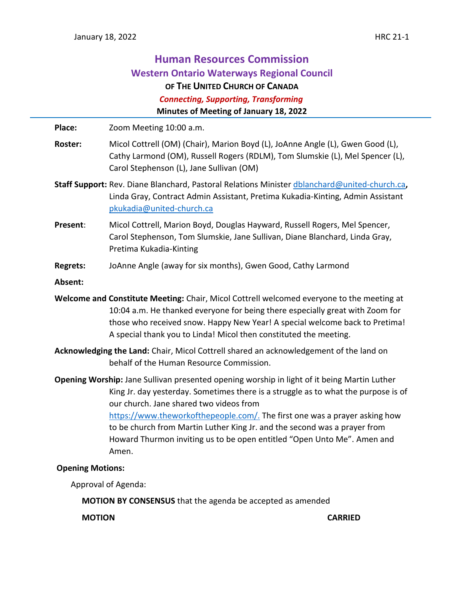# **Human Resources Commission Western Ontario Waterways Regional Council OF THE UNITED CHURCH OF CANADA**  *Connecting, Supporting, Transforming* **Minutes of Meeting of January 18, 2022**

**Place:** Zoom Meeting 10:00 a.m.

- **Roster:** Micol Cottrell (OM) (Chair), Marion Boyd (L), JoAnne Angle (L), Gwen Good (L), Cathy Larmond (OM), Russell Rogers (RDLM), Tom Slumskie (L), Mel Spencer (L), Carol Stephenson (L), Jane Sullivan (OM)
- **Staff Support:** Rev. Diane Blanchard, Pastoral Relations Minister [dblanchard@united-church.ca](mailto:dblanchard@united-church.ca)**,**  Linda Gray, Contract Admin Assistant, Pretima Kukadia-Kinting, Admin Assistant [pkukadia@united-church.ca](mailto:pkukadia@united-church.ca)
- **Present**: Micol Cottrell, Marion Boyd, Douglas Hayward, Russell Rogers, Mel Spencer, Carol Stephenson, Tom Slumskie, Jane Sullivan, Diane Blanchard, Linda Gray, Pretima Kukadia-Kinting
- **Regrets:** JoAnne Angle (away for six months), Gwen Good, Cathy Larmond
- **Absent:**
- **Welcome and Constitute Meeting:** Chair, Micol Cottrell welcomed everyone to the meeting at 10:04 a.m. He thanked everyone for being there especially great with Zoom for those who received snow. Happy New Year! A special welcome back to Pretima! A special thank you to Linda! Micol then constituted the meeting.
- **Acknowledging the Land:** Chair, Micol Cottrell shared an acknowledgement of the land on behalf of the Human Resource Commission.
- **Opening Worship:** Jane Sullivan presented opening worship in light of it being Martin Luther King Jr. day yesterday. Sometimes there is a struggle as to what the purpose is of our church. Jane shared two videos from [https://www.theworkofthepeople.com/.](https://www.theworkofthepeople.com/) The first one was a prayer asking how to be church from Martin Luther King Jr. and the second was a prayer from Howard Thurmon inviting us to be open entitled "Open Unto Me". Amen and Amen.

#### **Opening Motions:**

Approval of Agenda:

**MOTION BY CONSENSUS** that the agenda be accepted as amended

**MOTION CARRIED**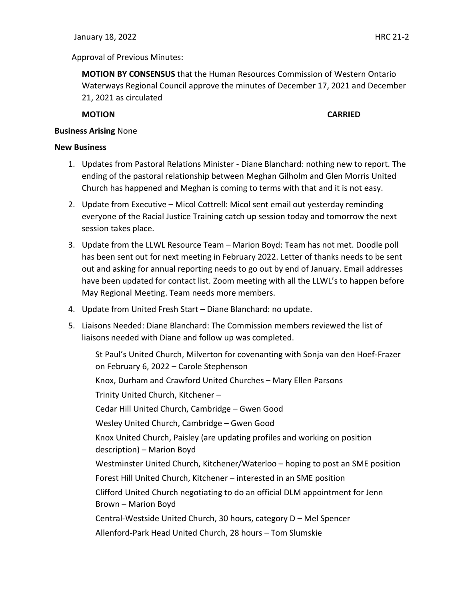Approval of Previous Minutes:

**MOTION BY CONSENSUS** that the Human Resources Commission of Western Ontario Waterways Regional Council approve the minutes of December 17, 2021 and December 21, 2021 as circulated

**MOTION CARRIED**

#### **Business Arising** None

#### **New Business**

- 1. Updates from Pastoral Relations Minister Diane Blanchard: nothing new to report. The ending of the pastoral relationship between Meghan Gilholm and Glen Morris United Church has happened and Meghan is coming to terms with that and it is not easy.
- 2. Update from Executive Micol Cottrell: Micol sent email out yesterday reminding everyone of the Racial Justice Training catch up session today and tomorrow the next session takes place.
- 3. Update from the LLWL Resource Team Marion Boyd: Team has not met. Doodle poll has been sent out for next meeting in February 2022. Letter of thanks needs to be sent out and asking for annual reporting needs to go out by end of January. Email addresses have been updated for contact list. Zoom meeting with all the LLWL's to happen before May Regional Meeting. Team needs more members.
- 4. Update from United Fresh Start Diane Blanchard: no update.
- 5. Liaisons Needed: Diane Blanchard: The Commission members reviewed the list of liaisons needed with Diane and follow up was completed.

St Paul's United Church, Milverton for covenanting with Sonja van den Hoef-Frazer on February 6, 2022 – Carole Stephenson Knox, Durham and Crawford United Churches – Mary Ellen Parsons Trinity United Church, Kitchener – Cedar Hill United Church, Cambridge – Gwen Good Wesley United Church, Cambridge – Gwen Good Knox United Church, Paisley (are updating profiles and working on position description) – Marion Boyd Westminster United Church, Kitchener/Waterloo – hoping to post an SME position Forest Hill United Church, Kitchener – interested in an SME position Clifford United Church negotiating to do an official DLM appointment for Jenn Brown – Marion Boyd Central-Westside United Church, 30 hours, category D – Mel Spencer Allenford-Park Head United Church, 28 hours – Tom Slumskie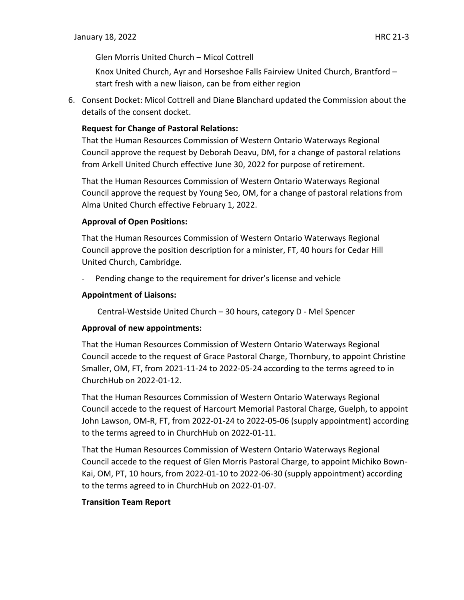Glen Morris United Church – Micol Cottrell

Knox United Church, Ayr and Horseshoe Falls Fairview United Church, Brantford – start fresh with a new liaison, can be from either region

6. Consent Docket: Micol Cottrell and Diane Blanchard updated the Commission about the details of the consent docket.

## **Request for Change of Pastoral Relations:**

That the Human Resources Commission of Western Ontario Waterways Regional Council approve the request by Deborah Deavu, DM, for a change of pastoral relations from Arkell United Church effective June 30, 2022 for purpose of retirement.

That the Human Resources Commission of Western Ontario Waterways Regional Council approve the request by Young Seo, OM, for a change of pastoral relations from Alma United Church effective February 1, 2022.

### **Approval of Open Positions:**

That the Human Resources Commission of Western Ontario Waterways Regional Council approve the position description for a minister, FT, 40 hours for Cedar Hill United Church, Cambridge.

Pending change to the requirement for driver's license and vehicle

#### **Appointment of Liaisons:**

Central-Westside United Church – 30 hours, category D - Mel Spencer

### **Approval of new appointments:**

That the Human Resources Commission of Western Ontario Waterways Regional Council accede to the request of Grace Pastoral Charge, Thornbury, to appoint Christine Smaller, OM, FT, from 2021-11-24 to 2022-05-24 according to the terms agreed to in ChurchHub on 2022-01-12.

That the Human Resources Commission of Western Ontario Waterways Regional Council accede to the request of Harcourt Memorial Pastoral Charge, Guelph, to appoint John Lawson, OM-R, FT, from 2022-01-24 to 2022-05-06 (supply appointment) according to the terms agreed to in ChurchHub on 2022-01-11.

That the Human Resources Commission of Western Ontario Waterways Regional Council accede to the request of Glen Morris Pastoral Charge, to appoint Michiko Bown-Kai, OM, PT, 10 hours, from 2022-01-10 to 2022-06-30 (supply appointment) according to the terms agreed to in ChurchHub on 2022-01-07.

### **Transition Team Report**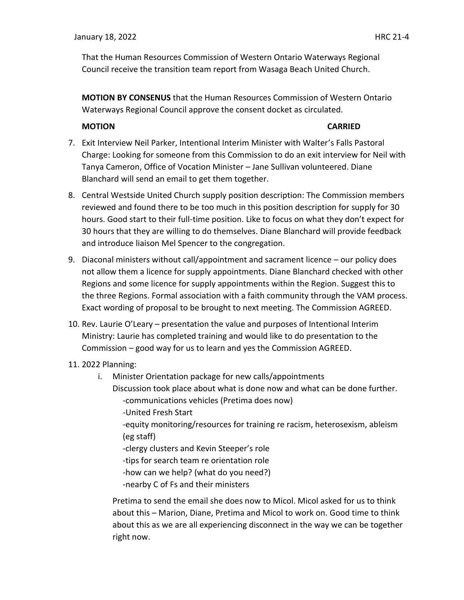That the Human Resources Commission of Western Ontario Waterways Regional Council receive the transition team report from Wasaga Beach United Church.

**MOTION BY CONSENUS** that the Human Resources Commission of Western Ontario Waterways Regional Council approve the consent docket as circulated.

#### **MOTION CARRIED**

- 7. Exit Interview Neil Parker, Intentional Interim Minister with Walter's Falls Pastoral Charge: Looking for someone from this Commission to do an exit interview for Neil with Tanya Cameron, Office of Vocation Minister – Jane Sullivan volunteered. Diane Blanchard will send an email to get them together.
- 8. Central Westside United Church supply position description: The Commission members reviewed and found there to be too much in this position description for supply for 30 hours. Good start to their full-time position. Like to focus on what they don't expect for 30 hours that they are willing to do themselves. Diane Blanchard will provide feedback and introduce liaison Mel Spencer to the congregation.
- 9. Diaconal ministers without call/appointment and sacrament licence our policy does not allow them a licence for supply appointments. Diane Blanchard checked with other Regions and some licence for supply appointments within the Region. Suggest this to the three Regions. Formal association with a faith community through the VAM process. Exact wording of proposal to be brought to next meeting. The Commission AGREED.
- 10. Rev. Laurie O'Leary presentation the value and purposes of Intentional Interim Ministry: Laurie has completed training and would like to do presentation to the Commission – good way for us to learn and yes the Commission AGREED.
- 11. 2022 Planning:
	- i. Minister Orientation package for new calls/appointments Discussion took place about what is done now and what can be done further. -communications vehicles (Pretima does now) -United Fresh Start -equity monitoring/resources for training re racism, heterosexism, ableism (eg staff) -clergy clusters and Kevin Steeper's role -tips for search team re orientation role
		-
		- -how can we help? (what do you need?)
		- -nearby C of Fs and their ministers

Pretima to send the email she does now to Micol. Micol asked for us to think about this – Marion, Diane, Pretima and Micol to work on. Good time to think about this as we are all experiencing disconnect in the way we can be together right now.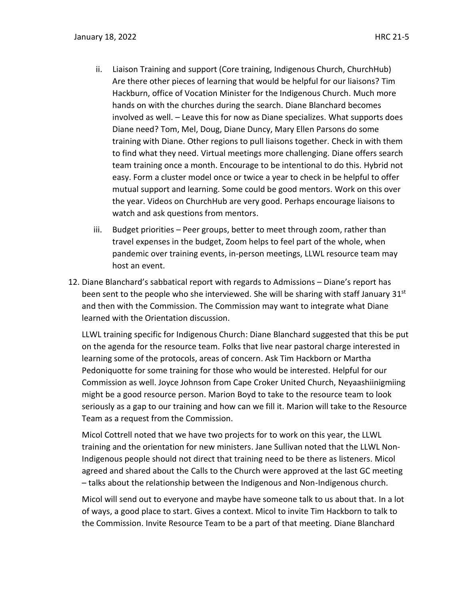- ii. Liaison Training and support (Core training, Indigenous Church, ChurchHub) Are there other pieces of learning that would be helpful for our liaisons? Tim Hackburn, office of Vocation Minister for the Indigenous Church. Much more hands on with the churches during the search. Diane Blanchard becomes involved as well. – Leave this for now as Diane specializes. What supports does Diane need? Tom, Mel, Doug, Diane Duncy, Mary Ellen Parsons do some training with Diane. Other regions to pull liaisons together. Check in with them to find what they need. Virtual meetings more challenging. Diane offers search team training once a month. Encourage to be intentional to do this. Hybrid not easy. Form a cluster model once or twice a year to check in be helpful to offer mutual support and learning. Some could be good mentors. Work on this over the year. Videos on ChurchHub are very good. Perhaps encourage liaisons to watch and ask questions from mentors.
- iii. Budget priorities Peer groups, better to meet through zoom, rather than travel expenses in the budget, Zoom helps to feel part of the whole, when pandemic over training events, in-person meetings, LLWL resource team may host an event.
- 12. Diane Blanchard's sabbatical report with regards to Admissions Diane's report has been sent to the people who she interviewed. She will be sharing with staff January 31<sup>st</sup> and then with the Commission. The Commission may want to integrate what Diane learned with the Orientation discussion.

LLWL training specific for Indigenous Church: Diane Blanchard suggested that this be put on the agenda for the resource team. Folks that live near pastoral charge interested in learning some of the protocols, areas of concern. Ask Tim Hackborn or Martha Pedoniquotte for some training for those who would be interested. Helpful for our Commission as well. Joyce Johnson from Cape Croker United Church, Neyaashiinigmiing might be a good resource person. Marion Boyd to take to the resource team to look seriously as a gap to our training and how can we fill it. Marion will take to the Resource Team as a request from the Commission.

Micol Cottrell noted that we have two projects for to work on this year, the LLWL training and the orientation for new ministers. Jane Sullivan noted that the LLWL Non-Indigenous people should not direct that training need to be there as listeners. Micol agreed and shared about the Calls to the Church were approved at the last GC meeting – talks about the relationship between the Indigenous and Non-Indigenous church.

Micol will send out to everyone and maybe have someone talk to us about that. In a lot of ways, a good place to start. Gives a context. Micol to invite Tim Hackborn to talk to the Commission. Invite Resource Team to be a part of that meeting. Diane Blanchard